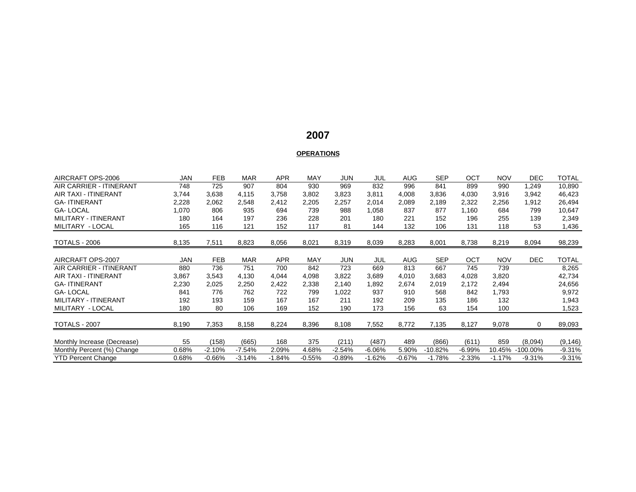# **2007**

# **OPERATIONS**

| AIRCRAFT OPS-2006              | <b>JAN</b> | <b>FEB</b> | <b>MAR</b> | APR        | <b>MAY</b> | <b>JUN</b> | JUL      | <b>AUG</b> | <b>SEP</b> | OCT      | <b>NOV</b> | <b>DEC</b>  | TOTAL    |
|--------------------------------|------------|------------|------------|------------|------------|------------|----------|------------|------------|----------|------------|-------------|----------|
| <b>AIR CARRIER - ITINERANT</b> | 748        | 725        | 907        | 804        | 930        | 969        | 832      | 996        | 841        | 899      | 990        | 1,249       | 10,890   |
| <b>AIR TAXI - ITINERANT</b>    | 3,744      | 3,638      | 4,115      | 3,758      | 3,802      | 3,823      | 3,811    | 4,008      | 3,836      | 4,030    | 3,916      | 3,942       | 46,423   |
| <b>GA-ITINERANT</b>            | 2,228      | 2,062      | 2,548      | 2,412      | 2,205      | 2,257      | 2,014    | 2,089      | 2,189      | 2,322    | 2,256      | 1,912       | 26,494   |
| <b>GA-LOCAL</b>                | 1,070      | 806        | 935        | 694        | 739        | 988        | 1,058    | 837        | 877        | 1,160    | 684        | 799         | 10,647   |
| MILITARY - ITINERANT           | 180        | 164        | 197        | 236        | 228        | 201        | 180      | 221        | 152        | 196      | 255        | 139         | 2,349    |
| MILITARY - LOCAL               | 165        | 116        | 121        | 152        | 117        | 81         | 144      | 132        | 106        | 131      | 118        | 53          | 1,436    |
|                                |            |            |            |            |            |            |          |            |            |          |            |             |          |
| <b>TOTALS - 2006</b>           | 8,135      | 7,511      | 8,823      | 8,056      | 8,021      | 8,319      | 8,039    | 8,283      | 8,001      | 8,738    | 8,219      | 8,094       | 98,239   |
|                                |            |            |            |            |            |            |          |            |            |          |            |             |          |
| AIRCRAFT OPS-2007              | JAN        | <b>FEB</b> | <b>MAR</b> | <b>APR</b> | <b>MAY</b> | JUN        | JUL      | <b>AUG</b> | <b>SEP</b> | OCT      | <b>NOV</b> | DEC.        | TOTAL    |
| AIR CARRIER - ITINERANT        | 880        | 736        | 751        | 700        | 842        | 723        | 669      | 813        | 667        | 745      | 739        |             | 8,265    |
| <b>AIR TAXI - ITINERANT</b>    | 3,867      | 3,543      | 4,130      | 4,044      | 4,098      | 3,822      | 3,689    | 4,010      | 3,683      | 4,028    | 3,820      |             | 42,734   |
| <b>GA-ITINERANT</b>            | 2,230      | 2,025      | 2,250      | 2,422      | 2,338      | 2,140      | 1,892    | 2,674      | 2,019      | 2,172    | 2,494      |             | 24,656   |
| <b>GA-LOCAL</b>                | 841        | 776        | 762        | 722        | 799        | 1,022      | 937      | 910        | 568        | 842      | 1,793      |             | 9,972    |
| <b>MILITARY - ITINERANT</b>    | 192        | 193        | 159        | 167        | 167        | 211        | 192      | 209        | 135        | 186      | 132        |             | 1,943    |
| MILITARY - LOCAL               | 180        | 80         | 106        | 169        | 152        | 190        | 173      | 156        | 63         | 154      | 100        |             | 1,523    |
| TOTALS - 2007                  | 8,190      | 7,353      | 8,158      | 8,224      | 8,396      | 8,108      | 7,552    | 8,772      | 7,135      | 8,127    | 9,078      | 0           | 89,093   |
|                                |            |            |            |            |            |            |          |            |            |          |            |             |          |
| Monthly Increase (Decrease)    | 55         | (158)      | (665)      | 168        | 375        | (211)      | (487)    | 489        | (866)      | (611)    | 859        | (8,094)     | (9, 146) |
| Monthly Percent (%) Change     | 0.68%      | $-2.10%$   | $-7.54%$   | 2.09%      | 4.68%      | $-2.54%$   | $-6.06%$ | 5.90%      | $-10.82%$  | $-6.99%$ | 10.45%     | $-100.00\%$ | $-9.31%$ |
| <b>YTD Percent Change</b>      | 0.68%      | $-0.66\%$  | $-3.14%$   | $-1.84%$   | $-0.55%$   | $-0.89%$   | $-1.62%$ | $-0.67%$   | $-1.78%$   | $-2.33%$ | $-1.17%$   | $-9.31%$    | $-9.31%$ |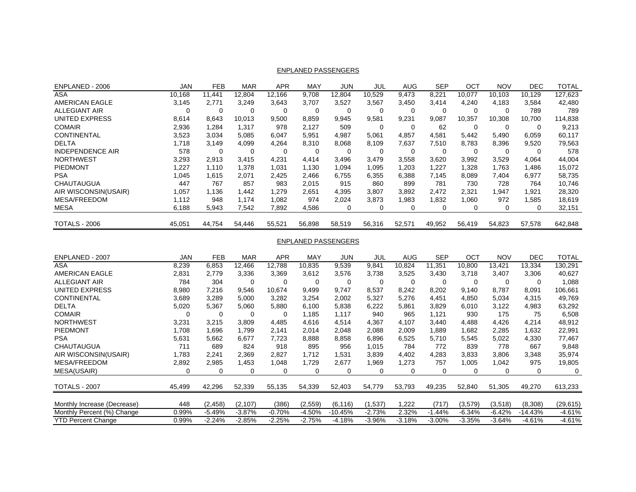| ENPLANED - 2006         | JAN    | FEB    | <b>MAR</b> | <b>APR</b> | MAY      | JUN      | JUL      | <b>AUG</b> | <b>SEP</b> | OCT      | <b>NOV</b> | DEC      | <b>TOTAL</b> |
|-------------------------|--------|--------|------------|------------|----------|----------|----------|------------|------------|----------|------------|----------|--------------|
| ASA                     | 10.168 | 11.441 | 12,804     | 12.166     | 9.708    | 12,804   | 10,529   | 9.473      | 8,221      | 10.077   | 10,103     | 10,129   | 127,623      |
| AMERICAN EAGLE          | 3,145  | 2,771  | 3,249      | 3.643      | 3.707    | 3.527    | 3.567    | 3.450      | 3,414      | 4.240    | 4.183      | 3,584    | 42,480       |
| ALLEGIANT AIR           |        | O      | 0          | $\Omega$   | $\Omega$ | $\Omega$ | $\Omega$ | 0          | 0          | $\Omega$ | $\Omega$   | 789      | 789          |
| UNITED EXPRESS          | 8,614  | 8,643  | 10.013     | 9.500      | 8.859    | 9.945    | 9.581    | 9,231      | 9.087      | 10.357   | 10,308     | 10,700   | 114,838      |
| <b>COMAIR</b>           | 2,936  | 1,284  | 1,317      | 978        | 2,127    | 509      | $\Omega$ | 0          | 62         | 0        | 0          | 0        | 9,213        |
| <b>CONTINENTAL</b>      | 3,523  | 3,034  | 5,085      | 6,047      | 5,951    | 4,987    | 5.061    | 4.857      | 4,581      | 5.442    | 5.490      | 6.059    | 60,117       |
| <b>DELTA</b>            | 1.718  | 3.149  | 4.099      | 4,264      | 8,310    | 8,068    | 8.109    | 7.637      | 7,510      | 8.783    | 8,396      | 9,520    | 79,563       |
| <b>INDEPENDENCE AIR</b> | 578    | 0      | 0          | 0          | $\Omega$ | 0        | 0        |            | 0          | $\Omega$ | $\Omega$   | $\Omega$ | 578          |
| <b>NORTHWEST</b>        | 3,293  | 2,913  | 3.415      | 4,231      | 4.414    | 3.496    | 3.479    | 3.558      | 3.620      | 3.992    | 3,529      | 4.064    | 44,004       |
| <b>PIEDMONT</b>         | 1.227  | 1.110  | 1.378      | 1.031      | 1.130    | 1.094    | 1.095    | 1,203      | 1.227      | 1.328    | 1.763      | 1.486    | 15,072       |
| <b>PSA</b>              | 1.045  | 1.615  | 2.071      | 2,425      | 2.466    | 6,755    | 6,355    | 6,388      | 7.145      | 8,089    | 7,404      | 6,977    | 58,735       |
| <b>CHAUTAUGUA</b>       | 447    | 767    | 857        | 983        | 2.015    | 915      | 860      | 899        | 781        | 730      | 728        | 764      | 10,746       |
| AIR WISCONSIN(USAIR)    | 1,057  | 1.136  | 1,442      | 1,279      | 2,651    | 4.395    | 3,807    | 3,892      | 2,472      | 2,321    | 1,947      | 1,921    | 28,320       |
| <b>MESA/FREEDOM</b>     | 1,112  | 948    | 1.174      | 1,082      | 974      | 2.024    | 3,873    | 1,983      | .832       | 1.060    | 972        | 1,585    | 18,619       |
| <b>MESA</b>             | 6,188  | 5,943  | 7.542      | 7.892      | 4,586    | 0        | 0        | ∩          | 0          | 0        | $\Omega$   | 0        | 32,151       |
| <b>TOTALS - 2006</b>    | 45,051 | 44,754 | 54,446     | 55,521     | 56,898   | 58,519   | 56,316   | 52,571     | 49,952     | 56,419   | 54,823     | 57,578   | 642,848      |
|                         |        |        |            |            |          |          |          |            |            |          |            |          |              |

### ENPLANED PASSENGERS

### ENPLANED PASSENGERS

| ENPLANED - 2007             | JAN    | <b>FEB</b> | <b>MAR</b> | <b>APR</b> | MAY      | <b>JUN</b> | JUL      | AUG      | <b>SEP</b> | OCT      | <b>NOV</b> | <b>DEC</b> | TOTAL     |
|-----------------------------|--------|------------|------------|------------|----------|------------|----------|----------|------------|----------|------------|------------|-----------|
| ASA                         | 8,239  | 6,853      | 12,466     | 12.788     | 10,835   | 9,539      | 9,841    | 10,824   | 11,351     | 10,800   | 13,421     | 13,334     | 130,291   |
| AMERICAN EAGLE              | 2,831  | 2,779      | 3,336      | 3,369      | 3,612    | 3,576      | 3,738    | 3,525    | 3,430      | 3,718    | 3,407      | 3,306      | 40,627    |
| <b>ALLEGIANT AIR</b>        | 784    | 304        | $\Omega$   |            | 0        |            | 0        |          | 0          | 0        | $\Omega$   | 0          | 1,088     |
| UNITED EXPRESS              | 8,980  | 7,216      | 9,546      | 10,674     | 9,499    | 9,747      | 8,537    | 8,242    | 8,202      | 9,140    | 8,787      | 8,091      | 106,661   |
| <b>CONTINENTAL</b>          | 3,689  | 3,289      | 5,000      | 3,282      | 3,254    | 2,002      | 5,327    | 5,276    | 4,451      | 4,850    | 5,034      | 4,315      | 49,769    |
| <b>DELTA</b>                | 5,020  | 5,367      | 5,060      | 5,880      | 6,100    | 5,838      | 6,222    | 5,861    | 3,829      | 6,010    | 3,122      | 4,983      | 63,292    |
| <b>COMAIR</b>               |        | $\Omega$   | $\Omega$   | 0          | 1,185    | 1,117      | 940      | 965      | 1.121      | 930      | 175        | 75         | 6,508     |
| <b>NORTHWEST</b>            | 3,231  | 3,215      | 3,809      | 4,485      | 4,616    | 4,514      | 4,367    | 4,107    | 3,440      | 4,488    | 4,426      | 4,214      | 48,912    |
| <b>PIEDMONT</b>             | 1,708  | 1,696      | 1.799      | 2.141      | 2,014    | 2,048      | 2,088    | 2,009    | 1,889      | 1,682    | 2,285      | 1,632      | 22,991    |
| <b>PSA</b>                  | 5,631  | 5,662      | 6,677      | 7,723      | 8,888    | 8,858      | 6,896    | 6,525    | 5,710      | 5,545    | 5,022      | 4,330      | 77,467    |
| <b>CHAUTAUGUA</b>           | 711    | 689        | 824        | 918        | 895      | 956        | 1,015    | 784      | 772        | 839      | 778        | 667        | 9,848     |
| AIR WISCONSIN(USAIR)        | 1,783  | 2,241      | 2,369      | 2,827      | 1.712    | 1,531      | 3,839    | 4,402    | 4,283      | 3,833    | 3,806      | 3,348      | 35,974    |
| <b>MESA/FREEDOM</b>         | 2,892  | 2,985      | 1,453      | 1,048      | 1,729    | 2,677      | 1,969    | 1,273    | 757        | 1,005    | 1,042      | 975        | 19,805    |
| MESA(USAIR)                 | 0      | 0          | 0          | $\Omega$   | $\Omega$ | 0          | 0        | 0        | $\Omega$   | 0        | 0          | 0          | 0         |
| <b>TOTALS - 2007</b>        | 45,499 | 42,296     | 52,339     | 55,135     | 54,339   | 52,403     | 54,779   | 53,793   | 49,235     | 52,840   | 51,305     | 49,270     | 613,233   |
|                             |        |            |            |            |          |            |          |          |            |          |            |            |           |
| Monthly Increase (Decrease) | 448    | (2, 458)   | (2,107)    | (386)      | (2,559)  | (6, 116)   | (1,537)  | 1,222    | (717)      | (3,579)  | (3,518)    | (8,308)    | (29, 615) |
| Monthly Percent (%) Change  | 0.99%  | $-5.49%$   | $-3.87%$   | $-0.70%$   | $-4.50%$ | $-10.45%$  | $-2.73%$ | 2.32%    | $-1.44%$   | $-6.34%$ | $-6.42%$   | $-14.43%$  | -4.61%    |
| <b>YTD Percent Change</b>   | 0.99%  | -2.24%     | $-2.85%$   | -2.25%     | -2.75%   | $-4.18%$   | $-3.96%$ | $-3.18%$ | -3.00%     | $-3.35%$ | $-3.64%$   | $-4.61%$   | -4.61%    |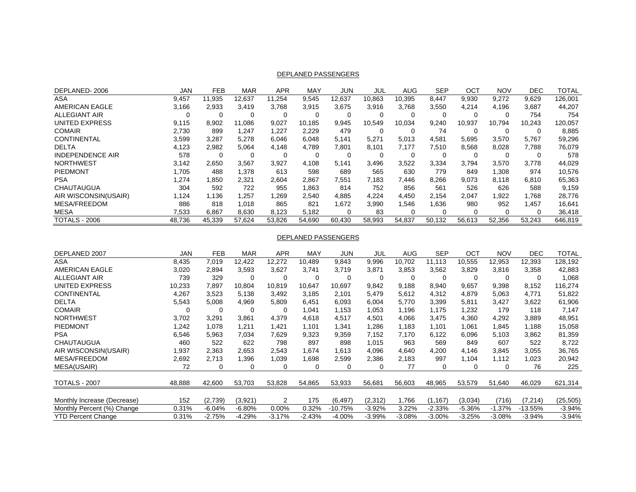| DEPLANED-2006           | <b>JAN</b> | <b>FEB</b> | <b>MAR</b> | APR    | MAY    | JUN    | JUL    | AUG    | <b>SEP</b> | OCT      | <b>NOV</b> | <b>DEC</b> | <b>TOTAL</b> |
|-------------------------|------------|------------|------------|--------|--------|--------|--------|--------|------------|----------|------------|------------|--------------|
| ASA                     | 9,457      | 11,935     | 12,637     | 11.254 | 9,545  | 12,637 | 10,863 | 10.395 | 8,447      | 9,930    | 9,272      | 9,629      | 126,001      |
| AMERICAN EAGLE          | 3,166      | 2,933      | 3.419      | 3.768  | 3.915  | 3.675  | 3.916  | 3.768  | 3,550      | 4.214    | 4.196      | 3,687      | 44,207       |
| <b>ALLEGIANT AIR</b>    |            | 0          |            | 0      | 0      |        |        |        |            | 0        | 0          | 754        | 754          |
| <b>UNITED EXPRESS</b>   | 9.115      | 8.902      | 11.086     | 9.027  | 10.185 | 9.945  | 10.549 | 10.034 | 9.240      | 10.937   | 10.794     | 10.243     | 120,057      |
| <b>COMAIR</b>           | 2,730      | 899        | 1.247      | 1,227  | 2,229  | 479    |        |        | 74         | 0        | 0          | 0          | 8,885        |
| <b>CONTINENTAL</b>      | 3.599      | 3,287      | 5.278      | 6.046  | 6.048  | 5.141  | 5.271  | 5.013  | 4.581      | 5.695    | 3.570      | 5.767      | 59,296       |
| <b>DELTA</b>            | 4,123      | 2,982      | 5,064      | 4,148  | 4.789  | 7.801  | 8.101  | 7.177  | 7,510      | 8,568    | 8,028      | 7,788      | 76,079       |
| <b>INDEPENDENCE AIR</b> | 578        |            |            | 0      |        |        |        |        |            |          | 0          |            | 578          |
| <b>NORTHWEST</b>        | 3.142      | 2,650      | 3.567      | 3.927  | 4.108  | 5.141  | 3.496  | 3,522  | 3,334      | 3.794    | 3,570      | 3.778      | 44,029       |
| PIEDMONT                | 1,705      | 488        | 1,378      | 613    | 598    | 689    | 565    | 630    | 779        | 849      | .308       | 974        | 10,576       |
| <b>PSA</b>              | 1.274      | .850       | 2.321      | 2.604  | 2.867  | 7.551  | 7.183  | 7.446  | 8.266      | 9.073    | 8.118      | 6,810      | 65,363       |
| <b>CHAUTAUGUA</b>       | 304        | 592        | 722        | 955    | .863   | 814    | 752    | 856    | 561        | 526      | 626        | 588        | 9,159        |
| AIR WISCONSIN(USAIR)    | 1,124      | 1.136      | .257       | .269   | 2,540  | 4.885  | 4,224  | 4.450  | 2.154      | 2,047    | ,922       | 1.768      | 28,776       |
| <b>MESA/FREEDOM</b>     | 886        | 818        | 1,018      | 865    | 821    | .672   | 3,990  | 1,546  | .636       | 980      | 952        | 1,457      | 16,641       |
| <b>MESA</b>             | 7.533      | 6,867      | 8,630      | 8,123  | 5.182  | 0      | 83     |        | 0          | $\Omega$ | 0          | 0          | 36,418       |
| <b>TOTALS - 2006</b>    | 48,736     | 45,339     | 57,624     | 53,826 | 54.690 | 60.430 | 58,993 | 54,837 | 50.132     | 56.613   | 52,356     | 53.243     | 646,819      |

## DEPLANED PASSENGERS

#### DEPLANED PASSENGERS

| DEPLANED 2007               | JAN    | <b>FEB</b> | <b>MAR</b> | <b>APR</b>     | MAY      | <b>JUN</b> | JUL      | AUG      | <b>SEP</b> | OCT      | <b>NOV</b> | DEC       | <b>TOTAL</b> |
|-----------------------------|--------|------------|------------|----------------|----------|------------|----------|----------|------------|----------|------------|-----------|--------------|
| <b>ASA</b>                  | 8,435  | 7,019      | 12,422     | 12,272         | 10,489   | 9,843      | 9,996    | 10,702   | 11.113     | 10,555   | 12,953     | 12,393    | 128,192      |
| AMERICAN EAGLE              | 3,020  | 2,894      | 3,593      | 3,627          | 3,741    | 3,719      | 3,871    | 3,853    | 3,562      | 3,829    | 3,816      | 3,358     | 42,883       |
| <b>ALLEGIANT AIR</b>        | 739    | 329        | $\Omega$   | $\Omega$       | $\Omega$ |            | 0        |          | C          | $\Omega$ | $\Omega$   | 0         | 1,068        |
| UNITED EXPRESS              | 10,233 | 7.897      | 10,804     | 10,819         | 10.647   | 10.697     | 9,842    | 9,188    | 8,940      | 9.657    | 9,398      | 8,152     | 116,274      |
| <b>CONTINENTAL</b>          | 4,267  | 3,523      | 5,138      | 3,492          | 3,185    | 2,101      | 5,479    | 5,612    | 4,312      | 4,879    | 5,063      | 4,771     | 51,822       |
| <b>DELTA</b>                | 5,543  | 5,008      | 4,969      | 5,809          | 6,451    | 6,093      | 6,004    | 5,770    | 3,399      | 5,811    | 3,427      | 3,622     | 61,906       |
| <b>COMAIR</b>               | 0      | 0          | 0          | 0              | 1,041    | 1,153      | 1,053    | 1,196    | 1,175      | 1,232    | 179        | 118       | 7,147        |
| <b>NORTHWEST</b>            | 3,702  | 3,291      | 3,861      | 4,379          | 4,618    | 4,517      | 4,501    | 4,066    | 3,475      | 4,360    | 4,292      | 3,889     | 48,951       |
| PIEDMONT                    | .242   | 1,078      | 1,211      | 1,421          | 1,101    | 1,341      | 1,286    | 1,183    | 1,101      | 1,061    | 1,845      | 1,188     | 15,058       |
| <b>PSA</b>                  | 6,546  | 5,963      | 7,034      | 7,629          | 9,323    | 9,359      | 7,152    | 7,170    | 6,122      | 6.096    | 5,103      | 3,862     | 81,359       |
| <b>CHAUTAUGUA</b>           | 460    | 522        | 622        | 798            | 897      | 898        | 1,015    | 963      | 569        | 849      | 607        | 522       | 8,722        |
| AIR WISCONSIN(USAIR)        | 1,937  | 2,363      | 2,653      | 2,543          | 1,674    | 1,613      | 4,096    | 4,640    | 4,200      | 4,146    | 3,845      | 3,055     | 36,765       |
| <b>MESA/FREEDOM</b>         | 2,692  | 2,713      | 1,396      | 1,039          | 1,698    | 2,599      | 2,386    | 2,183    | 997        | 1,104    | 1,112      | 1,023     | 20,942       |
| MESA(USAIR)                 | 72     | 0          | 0          | 0              | 0        |            | 0        | 77       | 0          | 0        | 0          | 76        | 225          |
|                             |        |            |            |                |          |            |          |          |            |          |            |           |              |
| TOTALS - 2007               | 48,888 | 42,600     | 53,703     | 53,828         | 54,865   | 53,933     | 56,681   | 56,603   | 48,965     | 53,579   | 51,640     | 46,029    | 621,314      |
|                             |        |            |            |                |          |            |          |          |            |          |            |           |              |
| Monthly Increase (Decrease) | 152    | (2,739)    | (3,921)    | $\overline{2}$ | 175      | (6, 497)   | (2,312)  | 1,766    | (1, 167)   | (3,034)  | (716)      | (7, 214)  | (25, 505)    |
| Monthly Percent (%) Change  | 0.31%  | $-6.04%$   | $-6.80%$   | $0.00\%$       | 0.32%    | -10.75%    | $-3.92%$ | 3.22%    | $-2.33%$   | $-5.36%$ | $-1.37%$   | $-13.55%$ | $-3.94%$     |
| <b>YTD Percent Change</b>   | 0.31%  | $-2.75%$   | $-4.29%$   | $-3.17\%$      | $-2.43%$ | $-4.00\%$  | $-3.99%$ | $-3.08%$ | $-3.00\%$  | $-3.25%$ | $-3.08%$   | $-3.94%$  | $-3.94%$     |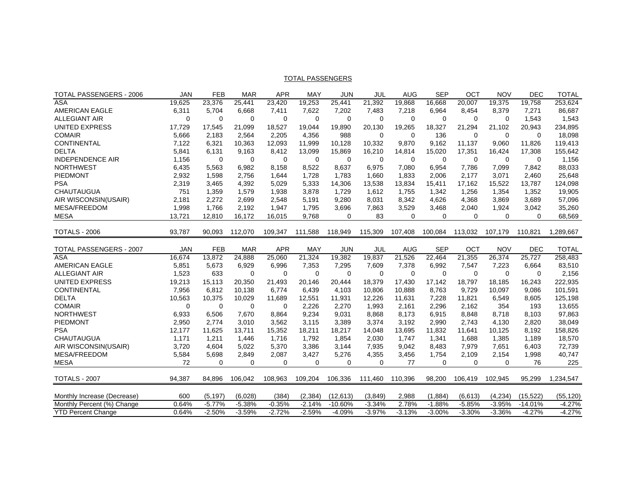<u>TOTAL PASSENGERS</u>

| TOTAL PASSENGERS - 2006        | <b>JAN</b> | <b>FEB</b>  | <b>MAR</b>  | <b>APR</b>  | <b>MAY</b>           | <b>JUN</b>  | JUL         | <b>AUG</b> | <b>SEP</b> | OCT         | <b>NOV</b>  | <b>DEC</b>             | <b>TOTAL</b> |
|--------------------------------|------------|-------------|-------------|-------------|----------------------|-------------|-------------|------------|------------|-------------|-------------|------------------------|--------------|
| <b>ASA</b>                     | 19,625     | 23,376      | 25,441      | 23,420      | 19,253               | 25,441      | 21,392      | 19,868     | 16,668     | 20,007      | 19,375      | 19,758                 | 253,624      |
| <b>AMERICAN EAGLE</b>          | 6,311      | 5,704       | 6,668       | 7,411       | 7,622                | 7,202       | 7,483       | 7,218      | 6,964      | 8,454       | 8,379       | 7,271                  | 86,687       |
| <b>ALLEGIANT AIR</b>           | $\Omega$   | $\Omega$    | $\Omega$    | 0           | $\Omega$             | $\mathbf 0$ | 0           | $\Omega$   | 0          | $\Omega$    | 0           | 1,543                  | 1,543        |
| UNITED EXPRESS                 | 17,729     | 17,545      | 21,099      | 18,527      | 19,044               | 19,890      | 20,130      | 19,265     | 18,327     | 21,294      | 21,102      | 20,943                 | 234,895      |
| <b>COMAIR</b>                  | 5,666      | 2,183       | 2,564       | 2,205       | 4,356                | 988         | $\Omega$    | $\Omega$   | 136        | $\Omega$    | $\Omega$    | $\Omega$               | 18,098       |
| CONTINENTAL                    | 7,122      | 6,321       | 10,363      | 12,093      | 11,999               | 10,128      | 10,332      | 9,870      | 9,162      | 11,137      | 9,060       | 11,826                 | 119,413      |
| <b>DELTA</b>                   | 5,841      | 6,131       | 9,163       | 8,412       | 13,099               | 15,869      | 16,210      | 14,814     | 15,020     | 17,351      | 16,424      | 17,308                 | 155,642      |
| <b>INDEPENDENCE AIR</b>        | 1,156      | $\mathbf 0$ | $\mathbf 0$ | $\mathbf 0$ | $\mathbf 0$          | $\mathbf 0$ | $\mathbf 0$ | 0          | 0          | $\mathbf 0$ | $\mathbf 0$ | $\mathbf 0$            | 1,156        |
| <b>NORTHWEST</b>               | 6,435      | 5,563       | 6,982       | 8.158       | 8,522                | 8,637       | 6,975       | 7,080      | 6,954      | 7,786       | 7,099       | 7,842                  | 88,033       |
| <b>PIEDMONT</b>                | 2,932      | 1,598       | 2,756       | 1,644       | 1,728                | 1,783       | 1,660       | 1,833      | 2,006      | 2,177       | 3,071       | 2,460                  | 25,648       |
| <b>PSA</b>                     | 2,319      | 3,465       | 4,392       | 5,029       | 5,333                | 14,306      | 13,538      | 13,834     | 15,411     | 17,162      | 15,522      | 13,787                 | 124,098      |
| <b>CHAUTAUGUA</b>              | 751        | 1,359       | 1,579       | 1,938       | 3,878                | 1,729       | 1,612       | 1,755      | 1,342      | 1,256       | 1,354       | 1,352                  | 19,905       |
| AIR WISCONSIN(USAIR)           | 2,181      | 2,272       | 2,699       | 2,548       | 5,191                | 9,280       | 8,031       | 8,342      | 4,626      | 4,368       | 3,869       | 3,689                  | 57,096       |
| MESA/FREEDOM                   | 1,998      | 1,766       | 2,192       | 1,947       | 1,795                | 3,696       | 7,863       | 3,529      | 3,468      | 2,040       | 1,924       | 3,042                  | 35,260       |
| <b>MESA</b>                    | 13,721     | 12,810      | 16,172      | 16,015      | 9,768                | $\Omega$    | 83          | $\Omega$   | 0          | $\Omega$    | 0           | $\Omega$               | 68,569       |
|                                |            |             |             |             |                      |             |             |            |            |             |             |                        |              |
| <b>TOTALS - 2006</b>           | 93,787     | 90.093      | 112,070     | 109,347     | 111,588              | 118,949     | 115,309     | 107,408    | 100,084    | 113,032     | 107,179     | 110,821                | 1,289,667    |
|                                |            |             |             |             |                      |             |             |            |            |             |             |                        |              |
| <b>TOTAL PASSENGERS - 2007</b> | <b>JAN</b> | <b>FEB</b>  | <b>MAR</b>  | <b>APR</b>  | MAY                  | <b>JUN</b>  | JUL         | <b>AUG</b> | <b>SEP</b> | OCT         | <b>NOV</b>  | <b>DEC</b>             | <b>TOTAL</b> |
| <b>ASA</b>                     | 16,674     | 13,872      | 24,888      | 25,060      | 21,324               | 19,382      | 19,837      | 21,526     | 22,464     | 21,355      | 26,374      | 25,727                 | 258,483      |
| <b>AMERICAN EAGLE</b>          | 5,851      | 5,673       | 6,929       | 6,996       | 7,353                | 7,295       | 7,609       | 7,378      | 6,992      | 7,547       | 7,223       | 6,664                  | 83,510       |
| <b>ALLEGIANT AIR</b>           | 1,523      | 633         | 0           | $\Omega$    | 0                    | $\mathbf 0$ | 0           | $\Omega$   | 0          | $\mathbf 0$ | 0           | $\mathbf 0$            | 2,156        |
| UNITED EXPRESS                 | 19,213     | 15,113      | 20,350      | 21,493      | 20,146               | 20,444      | 18,379      | 17,430     | 17,142     | 18,797      | 18,185      | 16,243                 | 222,935      |
| <b>CONTINENTAL</b>             | 7,956      | 6,812       | 10,138      | 6,774       | 6,439                | 4,103       | 10,806      | 10,888     | 8,763      | 9,729       | 10,097      | 9,086                  | 101,591      |
| <b>DELTA</b>                   | 10,563     | 10,375      | 10,029      | 11,689      | 12,551               | 11,931      | 12,226      | 11,631     | 7,228      | 11,821      | 6,549       | 8,605                  | 125,198      |
| <b>COMAIR</b>                  | $\Omega$   | 0           | $\mathbf 0$ | $\Omega$    | 2,226                | 2,270       | 1,993       | 2,161      | 2,296      | 2,162       | 354         | 193                    | 13,655       |
| <b>NORTHWEST</b>               | 6,933      | 6,506       | 7,670       | 8,864       | 9,234                | 9,031       | 8,868       | 8.173      | 6,915      | 8,848       | 8,718       | 8.103                  | 97,863       |
| PIEDMONT                       | 2,950      | 2.774       | 3,010       | 3,562       | 3,115                | 3,389       | 3,374       | 3,192      | 2.990      | 2,743       | 4,130       | 2,820                  | 38,049       |
| <b>PSA</b>                     | 12.177     | 11,625      | 13.711      | 15,352      | 18,211               | 18,217      | 14,048      | 13,695     | 11,832     | 11,641      | 10,125      | 8,192                  | 158,826      |
| <b>CHAUTAUGUA</b>              | 1,171      | 1,211       | 1,446       | 1,716       | 1,792                | 1,854       | 2,030       | 1,747      | 1,341      | 1,688       | 1,385       | 1,189                  | 18,570       |
| AIR WISCONSIN(USAIR)           | 3,720      | 4,604       | 5,022       | 5,370       | 3,386                | 3,144       | 7,935       | 9,042      | 8,483      | 7,979       | 7,651       | 6,403                  | 72,739       |
| <b>MESA/FREEDOM</b>            | 5,584      | 5,698       | 2,849       | 2,087       | 3,427                | 5,276       | 4,355       | 3,456      | 1,754      | 2,109       | 2,154       | 1,998                  | 40,747       |
| <b>MESA</b>                    | 72         | $\Omega$    | 0           | 0           | $\mathbf 0$          | 0           | 0           | 77         | 0          | $\mathbf 0$ | 0           | 76                     | 225          |
|                                |            |             |             |             |                      |             |             |            |            |             |             |                        |              |
| <b>TOTALS - 2007</b>           | 94,387     | 84,896      | 106,042     | 108,963     | 109,204              | 106,336     | 111,460     | 110,396    | 98,200     | 106,419     | 102,945     | 95,299                 | 1,234,547    |
|                                |            |             |             |             |                      |             |             |            |            |             |             |                        |              |
| Monthly Increase (Decrease)    | 600        | (5, 197)    | (6,028)     | (384)       | (2, 384)<br>$-2.14%$ | (12, 613)   | (3,849)     | 2,988      | (1,884)    | (6,613)     | (4,234)     | (15, 522)<br>$-14.01%$ | (55, 120)    |
| Monthly Percent (%) Change     | 0.64%      | $-5.77%$    | $-5.38%$    | $-0.35%$    |                      | $-10.60%$   | $-3.34%$    | 2.78%      | $-1.88%$   | $-5.85%$    | $-3.95%$    |                        | $-4.27%$     |
| <b>YTD Percent Change</b>      | 0.64%      | $-2.50%$    | $-3.59%$    | $-2.72%$    | $-2.59%$             | $-4.09%$    | $-3.97%$    | $-3.13%$   | $-3.00%$   | $-3.30%$    | $-3.36%$    | $-4.27%$               | $-4.27%$     |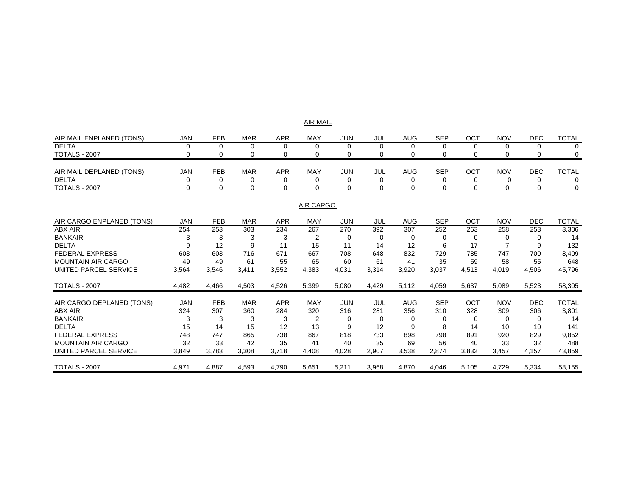|--|

| AIR MAIL ENPLANED (TONS)  | <b>JAN</b> | <b>FEB</b> | <b>MAR</b> | <b>APR</b> | MAY       | <b>JUN</b> | JUL      | AUG        | <b>SEP</b> | OCT        | <b>NOV</b>     | <b>DEC</b> | <b>TOTAL</b> |
|---------------------------|------------|------------|------------|------------|-----------|------------|----------|------------|------------|------------|----------------|------------|--------------|
| <b>DELTA</b>              | 0          | $\Omega$   | $\Omega$   | $\Omega$   | $\Omega$  | $\Omega$   | 0        | $\Omega$   | $\Omega$   | $\Omega$   | 0              | $\Omega$   | 0            |
| <b>TOTALS - 2007</b>      |            | 0          | 0          | 0          | 0         | 0          | 0        |            | 0          | 0          | 0              | 0          | 0            |
| AIR MAIL DEPLANED (TONS)  | JAN        | <b>FEB</b> | <b>MAR</b> | <b>APR</b> | MAY       | <b>JUN</b> | JUL      | AUG        | <b>SEP</b> | OCT        | <b>NOV</b>     | <b>DEC</b> | <b>TOTAL</b> |
| <b>DELTA</b>              | 0          | $\Omega$   | $\Omega$   | $\Omega$   | 0         | $\Omega$   | $\Omega$ | $\Omega$   | $\Omega$   | $\Omega$   | $\Omega$       | $\Omega$   | $\Omega$     |
| <b>TOTALS - 2007</b>      |            |            |            |            | 0         | 0          | 0        |            |            | 0          | 0              |            |              |
|                           |            |            |            |            | AIR CARGO |            |          |            |            |            |                |            |              |
| AIR CARGO ENPLANED (TONS) | <b>JAN</b> | <b>FEB</b> | <b>MAR</b> | <b>APR</b> | MAY       | <b>JUN</b> | JUL      | <b>AUG</b> | <b>SEP</b> | OCT        | <b>NOV</b>     | <b>DEC</b> | <b>TOTAL</b> |
| <b>ABX AIR</b>            | 254        | 253        | 303        | 234        | 267       | 270        | 392      | 307        | 252        | 263        | 258            | 253        | 3,306        |
| <b>BANKAIR</b>            | 3          | 3          | 3          | 3          | 2         | $\Omega$   | $\Omega$ | $\Omega$   | 0          | $\Omega$   | $\Omega$       | $\Omega$   | 14           |
| <b>DELTA</b>              | 9          | 12         | 9          | 11         | 15        | 11         | 14       | 12         | 6          | 17         | $\overline{7}$ | 9          | 132          |
| <b>FEDERAL EXPRESS</b>    | 603        | 603        | 716        | 671        | 667       | 708        | 648      | 832        | 729        | 785        | 747            | 700        | 8,409        |
| <b>MOUNTAIN AIR CARGO</b> | 49         | 49         | 61         | 55         | 65        | 60         | 61       | 41         | 35         | 59         | 58             | 55         | 648          |
| UNITED PARCEL SERVICE     | 3,564      | 3,546      | 3,411      | 3,552      | 4,383     | 4,031      | 3,314    | 3,920      | 3,037      | 4,513      | 4,019          | 4,506      | 45,796       |
| <b>TOTALS - 2007</b>      | 4,482      | 4,466      | 4,503      | 4,526      | 5,399     | 5,080      | 4,429    | 5,112      | 4,059      | 5,637      | 5,089          | 5,523      | 58,305       |
| AIR CARGO DEPLANED (TONS) | <b>JAN</b> | <b>FEB</b> | <b>MAR</b> | <b>APR</b> | MAY       | <b>JUN</b> | JUL      | <b>AUG</b> | <b>SEP</b> | <b>OCT</b> | <b>NOV</b>     | <b>DEC</b> | <b>TOTAL</b> |
| <b>ABX AIR</b>            | 324        | 307        | 360        | 284        | 320       | 316        | 281      | 356        | 310        | 328        | 309            | 306        | 3,801        |
| <b>BANKAIR</b>            | 3          | 3          | 3          | 3          | 2         | $\Omega$   | 0        | 0          | 0          | $\Omega$   | 0              | $\Omega$   | 14           |
| <b>DELTA</b>              | 15         | 14         | 15         | 12         | 13        | 9          | 12       | 9          | 8          | 14         | 10             | 10         | 141          |
| <b>FEDERAL EXPRESS</b>    | 748        | 747        | 865        | 738        | 867       | 818        | 733      | 898        | 798        | 891        | 920            | 829        | 9,852        |
| <b>MOUNTAIN AIR CARGO</b> | 32         | 33         | 42         | 35         | 41        | 40         | 35       | 69         | 56         | 40         | 33             | 32         | 488          |
| UNITED PARCEL SERVICE     | 3,849      | 3,783      | 3,308      | 3,718      | 4,408     | 4,028      | 2,907    | 3,538      | 2,874      | 3,832      | 3,457          | 4,157      | 43,859       |
| <b>TOTALS - 2007</b>      | 4,971      | 4,887      | 4,593      | 4,790      | 5,651     | 5,211      | 3,968    | 4,870      | 4,046      | 5,105      | 4,729          | 5,334      | 58,155       |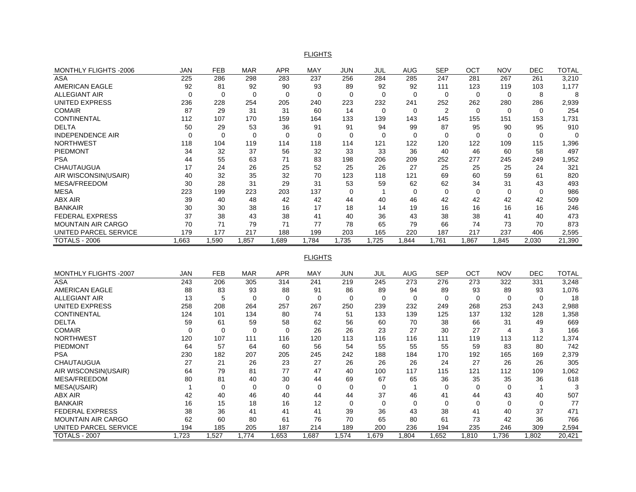#### FLIGHTS

| MONTHLY FLIGHTS -2006     | <b>JAN</b> | <b>FEB</b> | <b>MAR</b> | <b>APR</b> | <b>MAY</b> | <b>JUN</b> | JUL   | <b>AUG</b> | <b>SEP</b> | OCT  | <b>NOV</b> | <b>DEC</b> | <b>TOTAL</b> |
|---------------------------|------------|------------|------------|------------|------------|------------|-------|------------|------------|------|------------|------------|--------------|
| ASA                       | 225        | 286        | 298        | 283        | 237        | 256        | 284   | 285        | 247        | 281  | 267        | 261        | 3,210        |
| AMERICAN EAGLE            | 92         | 81         | 92         | 90         | 93         | 89         | 92    | 92         | 111        | 123  | 119        | 103        | 1,177        |
| <b>ALLEGIANT AIR</b>      | 0          |            | $\Omega$   | 0          |            | $\Omega$   | 0     | $\Omega$   | $\Omega$   | 0    | 0          | 8          | 8            |
| UNITED EXPRESS            | 236        | 228        | 254        | 205        | 240        | 223        | 232   | 241        | 252        | 262  | 280        | 286        | 2,939        |
| <b>COMAIR</b>             | 87         | 29         | 31         | 31         | 60         | 14         | 0     | 0          | 2          | 0    | $\Omega$   | 0          | 254          |
| <b>CONTINENTAL</b>        | 112        | 107        | 170        | 159        | 164        | 133        | 139   | 143        | 145        | 155  | 151        | 153        | 1,731        |
| <b>DELTA</b>              | 50         | 29         | 53         | 36         | 91         | 91         | 94    | 99         | 87         | 95   | 90         | 95         | 910          |
| <b>INDEPENDENCE AIR</b>   | 0          |            | 0          | 0          | 0          | 0          | 0     | 0          | 0          | 0    | 0          | 0          | $\Omega$     |
| <b>NORTHWEST</b>          | 118        | 104        | 119        | 114        | 118        | 114        | 121   | 122        | 120        | 122  | 109        | 115        | 1,396        |
| <b>PIEDMONT</b>           | 34         | 32         | 37         | 56         | 32         | 33         | 33    | 36         | 40         | 46   | 60         | 58         | 497          |
| <b>PSA</b>                | 44         | 55         | 63         | 71         | 83         | 198        | 206   | 209        | 252        | 277  | 245        | 249        | 1,952        |
| <b>CHAUTAUGUA</b>         | 17         | 24         | 26         | 25         | 52         | 25         | 26    | 27         | 25         | 25   | 25         | 24         | 321          |
| AIR WISCONSIN(USAIR)      | 40         | 32         | 35         | 32         | 70         | 123        | 118   | 121        | 69         | 60   | 59         | 61         | 820          |
| MESA/FREEDOM              | 30         | 28         | 31         | 29         | 31         | 53         | 59    | 62         | 62         | 34   | 31         | 43         | 493          |
| <b>MESA</b>               | 223        | 199        | 223        | 203        | 137        |            |       | $\Omega$   | 0          |      |            | 0          | 986          |
| <b>ABX AIR</b>            | 39         | 40         | 48         | 42         | 42         | 44         | 40    | 46         | 42         | 42   | 42         | 42         | 509          |
| <b>BANKAIR</b>            | 30         | 30         | 38         | 16         | 17         | 18         | 14    | 19         | 16         | 16   | 16         | 16         | 246          |
| <b>FEDERAL EXPRESS</b>    | 37         | 38         | 43         | 38         | 41         | 40         | 36    | 43         | 38         | 38   | 41         | 40         | 473          |
| <b>MOUNTAIN AIR CARGO</b> | 70         | 71         | 79         | 71         | 77         | 78         | 65    | 79         | 66         | 74   | 73         | 70         | 873          |
| UNITED PARCEL SERVICE     | 179        | 177        | 217        | 188        | 199        | 203        | 165   | 220        | 187        | 217  | 237        | 406        | 2,595        |
| <b>TOTALS - 2006</b>      | .663       | 590. ا     | 1,857      | 1,689      | .784       | .735       | 1,725 | 844. ا     | 1,761      | .867 | .845       | 2,030      | 21,390       |

FLIGHTS

| MONTHLY FLIGHTS - 2007    | <b>JAN</b> | <b>FEB</b> | <b>MAR</b> | <b>APR</b> | <b>MAY</b> | JUN  | JUL      | <b>AUG</b> | <b>SEP</b> | OCT      | <b>NOV</b> | <b>DEC</b> | TOTAL  |
|---------------------------|------------|------------|------------|------------|------------|------|----------|------------|------------|----------|------------|------------|--------|
| ASA                       | 243        | 206        | 305        | 314        | 241        | 219  | 245      | 273        | 276        | 273      | 322        | 331        | 3,248  |
| AMERICAN EAGLE            | 88         | 83         | 93         | 88         | 91         | 86   | 89       | 94         | 89         | 93       | 89         | 93         | 1,076  |
| <b>ALLEGIANT AIR</b>      | 13         | 5          | 0          |            | 0          |      | 0        | 0          | 0          | 0        | 0          |            | 18     |
| UNITED EXPRESS            | 258        | 208        | 264        | 257        | 267        | 250  | 239      | 232        | 249        | 268      | 253        | 243        | 2,988  |
| <b>CONTINENTAL</b>        | 124        | 101        | 134        | 80         | 74         | 51   | 133      | 139        | 125        | 137      | 132        | 128        | 1,358  |
| <b>DELTA</b>              | 59         | 61         | 59         | 58         | 62         | 56   | 60       | 70         | 38         | 66       | 31         | 49         | 669    |
| <b>COMAIR</b>             |            | 0          | 0          | 0          | 26         | 26   | 23       | 27         | 30         | 27       | 4          | 3          | 166    |
| <b>NORTHWEST</b>          | 120        | 107        | 111        | 116        | 120        | 113  | 116      | 116        | 111        | 119      | 113        | 112        | 1,374  |
| <b>PIEDMONT</b>           | 64         | 57         | 64         | 60         | 56         | 54   | 55       | 55         | 55         | 59       | 83         | 80         | 742    |
| <b>PSA</b>                | 230        | 182        | 207        | 205        | 245        | 242  | 188      | 184        | 170        | 192      | 165        | 169        | 2,379  |
| <b>CHAUTAUGUA</b>         | 27         | 21         | 26         | 23         | 27         | 26   | 26       | 26         | 24         | 27       | 26         | 26         | 305    |
| AIR WISCONSIN(USAIR)      | 64         | 79         | 81         | 77         | 47         | 40   | 100      | 117        | 115        | 121      | 112        | 109        | 1,062  |
| MESA/FREEDOM              | 80         | 81         | 40         | 30         | 44         | 69   | 67       | 65         | 36         | 35       | 35         | 36         | 618    |
| <b>MESA(USAIR)</b>        |            | 0          | 0          |            |            |      | 0        |            | 0          | 0        | 0          |            |        |
| <b>ABX AIR</b>            | 42         | 40         | 46         | 40         | 44         | 44   | 37       | 46         | 41         | 44       | 43         | 40         | 507    |
| <b>BANKAIR</b>            | 16         | 15         | 18         | 16         | 12         |      | $\Omega$ | 0          | $\Omega$   | $\Omega$ | 0          |            | 77     |
| <b>FEDERAL EXPRESS</b>    | 38         | 36         | 41         | 41         | 41         | 39   | 36       | 43         | 38         | 41       | 40         | 37         | 471    |
| <b>MOUNTAIN AIR CARGO</b> | 62         | 60         | 80         | 61         | 76         | 70   | 65       | 80         | 61         | 73       | 42         | 36         | 766    |
| UNITED PARCEL SERVICE     | 194        | 185        | 205        | 187        | 214        | 189  | 200      | 236        | 194        | 235      | 246        | 309        | 2,594  |
| <b>TOTALS - 2007</b>      | 1.723      | 1,527      | 1.774      | .653       | .687       | .574 | 1.679    | .804       | 1.652      | .810     | 1.736      | .802       | 20,421 |